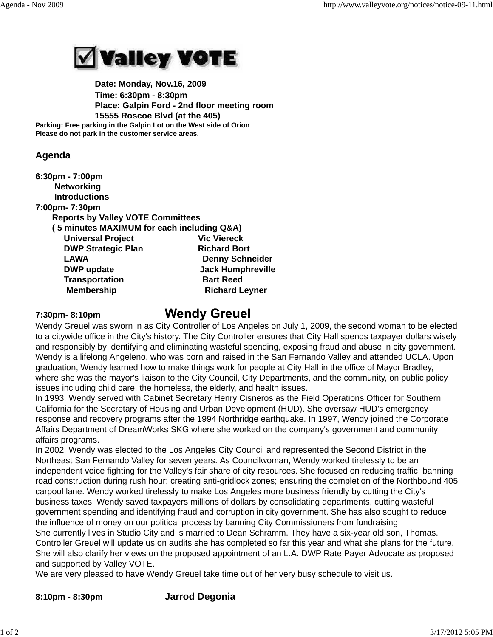

 **Date: Monday, Nov.16, 2009 Time: 6:30pm - 8:30pm Place: Galpin Ford - 2nd floor meeting room 15555 Roscoe Blvd (at the 405) Parking: Free parking in the Galpin Lot on the West side of Orion Please do not park in the customer service areas.**

## **Agenda**

**6:30pm - 7:00pm Networking Introductions**

**7:00pm- 7:30pm**

 **Reports by Valley VOTE Committees**

| (5 minutes MAXIMUM for each including Q&A) |                          |
|--------------------------------------------|--------------------------|
| <b>Universal Project</b>                   | <b>Vic Viereck</b>       |
| <b>DWP Strategic Plan</b>                  | <b>Richard Bort</b>      |
| <b>LAWA</b>                                | <b>Denny Schneider</b>   |
| <b>DWP</b> update                          | <b>Jack Humphreville</b> |
| <b>Transportation</b>                      | <b>Bart Reed</b>         |
| <b>Membership</b>                          | <b>Richard Leyner</b>    |

**7:30pm- 8:10pm** 

## **Wendy Greuel**

Wendy Greuel was sworn in as City Controller of Los Angeles on July 1, 2009, the second woman to be elected to a citywide office in the City's history. The City Controller ensures that City Hall spends taxpayer dollars wisely and responsibly by identifying and eliminating wasteful spending, exposing fraud and abuse in city government. Wendy is a lifelong Angeleno, who was born and raised in the San Fernando Valley and attended UCLA. Upon graduation, Wendy learned how to make things work for people at City Hall in the office of Mayor Bradley, where she was the mayor's liaison to the City Council, City Departments, and the community, on public policy issues including child care, the homeless, the elderly, and health issues.

In 1993, Wendy served with Cabinet Secretary Henry Cisneros as the Field Operations Officer for Southern California for the Secretary of Housing and Urban Development (HUD). She oversaw HUD's emergency response and recovery programs after the 1994 Northridge earthquake. In 1997, Wendy joined the Corporate Affairs Department of DreamWorks SKG where she worked on the company's government and community affairs programs.

In 2002, Wendy was elected to the Los Angeles City Council and represented the Second District in the Northeast San Fernando Valley for seven years. As Councilwoman, Wendy worked tirelessly to be an independent voice fighting for the Valley's fair share of city resources. She focused on reducing traffic; banning road construction during rush hour; creating anti-gridlock zones; ensuring the completion of the Northbound 405 carpool lane. Wendy worked tirelessly to make Los Angeles more business friendly by cutting the City's business taxes. Wendy saved taxpayers millions of dollars by consolidating departments, cutting wasteful government spending and identifying fraud and corruption in city government. She has also sought to reduce the influence of money on our political process by banning City Commissioners from fundraising. She currently lives in Studio City and is married to Dean Schramm. They have a six-year old son, Thomas. Controller Greuel will update us on audits she has completed so far this year and what she plans for the future. She will also clarify her views on the proposed appointment of an L.A. DWP Rate Payer Advocate as proposed and supported by Valley VOTE.

We are very pleased to have Wendy Greuel take time out of her very busy schedule to visit us.

**8:10pm - 8:30pm Jarrod Degonia**